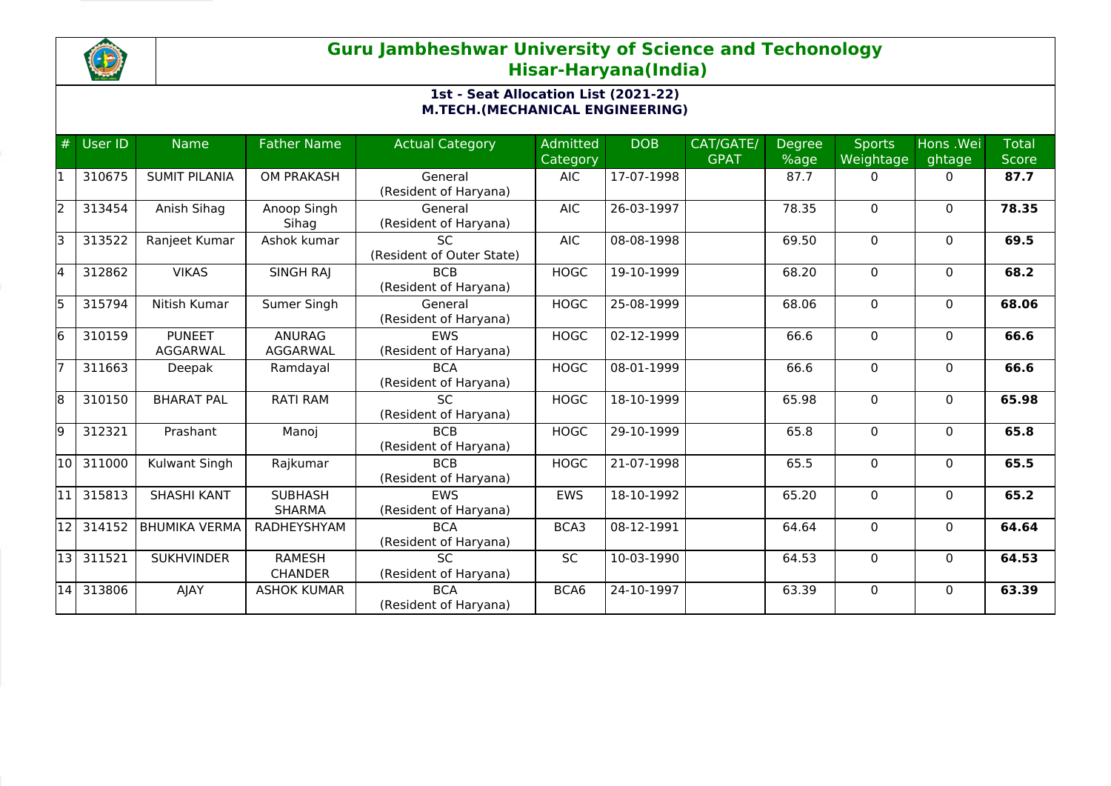

## **Guru Jambheshwar University of Science and Techonology Hisar-Haryana(India)**

## **1st - Seat Allocation List (2021-22) M.TECH.(MECHANICAL ENGINEERING)**

|    | User ID | <b>Name</b>               | <b>Father Name</b>              | <b>Actual Category</b>                   | <b>Admitted</b><br>Category | <b>DOB</b>               | CAT/GATE/<br><b>GPAT</b> | <b>Degree</b><br>%age | <b>Sports</b><br>Weightage | Hons .Wei<br>ghtage | <b>Total</b><br><b>Score</b> |
|----|---------|---------------------------|---------------------------------|------------------------------------------|-----------------------------|--------------------------|--------------------------|-----------------------|----------------------------|---------------------|------------------------------|
| I1 | 310675  | <b>SUMIT PILANIA</b>      | <b>OM PRAKASH</b>               | General<br>(Resident of Haryana)         | <b>AIC</b>                  | 17-07-1998               |                          | 87.7                  | $\Omega$                   | $\mathbf{0}$        | 87.7                         |
| 2  | 313454  | Anish Sihag               | Anoop Singh<br>Sihag            | General<br>(Resident of Haryana)         | <b>AIC</b>                  | 26-03-1997               |                          | 78.35                 | $\Omega$                   | $\mathbf{0}$        | 78.35                        |
| lз | 313522  | Ranjeet Kumar             | Ashok kumar                     | <b>SC</b><br>(Resident of Outer State)   | <b>AIC</b>                  | 08-08-1998               |                          | 69.50                 | $\Omega$                   | $\mathbf{0}$        | 69.5                         |
| l4 | 312862  | <b>VIKAS</b>              | SINGH RAJ                       | <b>BCB</b><br>(Resident of Haryana)      | <b>HOGC</b>                 | 19-10-1999               |                          | 68.20                 | 0                          | 0                   | 68.2                         |
| 5  | 315794  | Nitish Kumar              | Sumer Singh                     | General<br>(Resident of Haryana)         | <b>HOGC</b>                 | 25-08-1999               |                          | 68.06                 | 0                          | 0                   | 68.06                        |
| 6  | 310159  | <b>PUNEET</b><br>AGGARWAL | <b>ANURAG</b><br>AGGARWAL       | <b>EWS</b><br>(Resident of Haryana)      | <b>HOGC</b>                 | 02-12-1999               |                          | 66.6                  | 0                          | $\mathbf{0}$        | 66.6                         |
| 17 | 311663  | Deepak                    | Ramdayal                        | <b>BCA</b><br>(Resident of Haryana)      | <b>HOGC</b>                 | 08-01-1999               |                          | 66.6                  | $\Omega$                   | $\mathbf{0}$        | 66.6                         |
| 8  | 310150  | <b>BHARAT PAL</b>         | <b>RATI RAM</b>                 | SC.<br>(Resident of Haryana)             | <b>HOGC</b>                 | 18-10-1999               |                          | 65.98                 | $\Omega$                   | $\mathbf{0}$        | 65.98                        |
| 9  | 312321  | Prashant                  | Manoj                           | <b>BCB</b><br>(Resident of Haryana)      | <b>HOGC</b>                 | 29-10-1999               |                          | 65.8                  | $\Omega$                   | $\mathbf{0}$        | 65.8                         |
| 10 | 311000  | Kulwant Singh             | Rajkumar                        | <b>BCB</b><br>(Resident of Haryana)      | <b>HOGC</b>                 | $\overline{21}$ -07-1998 |                          | 65.5                  | 0                          | $\mathbf{0}$        | 65.5                         |
| 11 | 315813  | <b>SHASHI KANT</b>        | <b>SUBHASH</b><br><b>SHARMA</b> | <b>EWS</b><br>(Resident of Haryana)      | <b>EWS</b>                  | 18-10-1992               |                          | 65.20                 | $\Omega$                   | $\mathbf{0}$        | 65.2                         |
| 12 | 314152  | <b>BHUMIKA VERMA</b>      | RADHEYSHYAM                     | <b>BCA</b><br>(Resident of Haryana)      | BCA3                        | 08-12-1991               |                          | 64.64                 | 0                          | $\mathbf{0}$        | 64.64                        |
| 13 | 311521  | <b>SUKHVINDER</b>         | <b>RAMESH</b><br><b>CHANDER</b> | $\overline{SC}$<br>(Resident of Haryana) | <b>SC</b>                   | 10-03-1990               |                          | 64.53                 | $\Omega$                   | $\mathbf{0}$        | 64.53                        |
| 14 | 313806  | AJAY                      | <b>ASHOK KUMAR</b>              | <b>BCA</b><br>(Resident of Haryana)      | BCA6                        | 24-10-1997               |                          | 63.39                 | $\Omega$                   | $\Omega$            | 63.39                        |